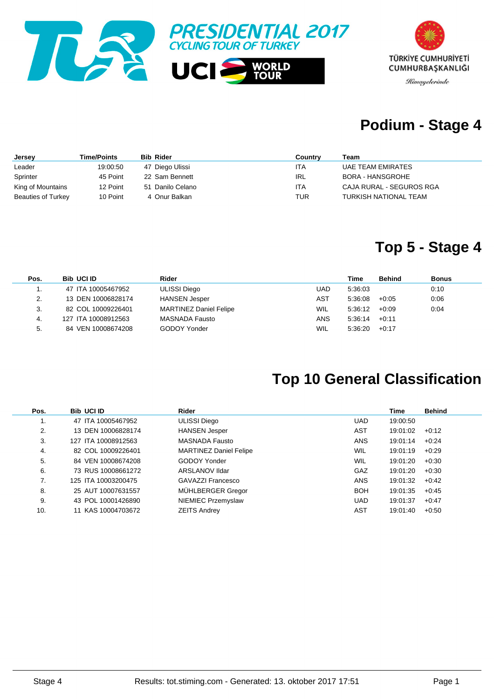



# **Podium - Stage 4**

| Jersey                    | <b>Time/Points</b> | <b>Bib Rider</b> | Country | Team                     |
|---------------------------|--------------------|------------------|---------|--------------------------|
| Leader                    | 19:00:50           | 47 Diego Ulissi  | ITA     | <b>UAE TEAM EMIRATES</b> |
| Sprinter                  | 45 Point           | 22 Sam Bennett   | IRL     | <b>BORA - HANSGROHE</b>  |
| King of Mountains         | 12 Point           | 51 Danilo Celano | ITA     | CAJA RURAL - SEGUROS RGA |
| <b>Beauties of Turkey</b> | 10 Point           | 4 Onur Balkan    | TUR     | TURKISH NATIONAL TEAM    |

### **Top 5 - Stage 4**

| Pos. | <b>Bib UCI ID</b>   | Rider                         |      | Time            | <b>Behind</b> | Bonus |
|------|---------------------|-------------------------------|------|-----------------|---------------|-------|
| . .  | 47 ITA 10005467952  | ULISSI Diego                  | UAD  | 5:36:03         |               | 0:10  |
| 2.   | 13 DEN 10006828174  | <b>HANSEN Jesper</b>          | AST  | 5:36:08         | $+0:05$       | 0:06  |
| 3.   | 82 COL 10009226401  | <b>MARTINEZ Daniel Felipe</b> | WIL. | $5:36:12 +0:09$ |               | 0:04  |
| -4.  | 127 ITA 10008912563 | MASNADA Fausto                | ANS  | 5:36:14         | $+0.11$       |       |
| 5.   | 84 VEN 10008674208  | <b>GODOY Yonder</b>           | WIL  | 5:36:20         | $+0.17$       |       |

# **Top 10 General Classification**

| Pos. | <b>Bib UCI ID</b>   | Rider                         |            | Time     | <b>Behind</b> |
|------|---------------------|-------------------------------|------------|----------|---------------|
| ι.   | 47 ITA 10005467952  | <b>ULISSI Diego</b>           | <b>UAD</b> | 19:00:50 |               |
| 2.   | 13 DEN 10006828174  | <b>HANSEN Jesper</b>          | AST        | 19:01:02 | $+0.12$       |
| 3.   | 127 ITA 10008912563 | <b>MASNADA Fausto</b>         | <b>ANS</b> | 19:01:14 | $+0.24$       |
| 4.   | 82 COL 10009226401  | <b>MARTINEZ Daniel Felipe</b> | <b>WIL</b> | 19:01:19 | $+0.29$       |
| 5.   | 84 VEN 10008674208  | GODOY Yonder                  | <b>WIL</b> | 19:01:20 | $+0.30$       |
| 6.   | 73 RUS 10008661272  | ARSLANOV Ildar                | GAZ        | 19:01:20 | $+0.30$       |
| 7.   | 125 ITA 10003200475 | GAVAZZI Francesco             | <b>ANS</b> | 19:01:32 | $+0.42$       |
| 8.   | 25 AUT 10007631557  | MÜHLBERGER Gregor             | <b>BOH</b> | 19:01:35 | $+0.45$       |
| 9.   | 43 POL 10001426890  | NIEMIEC Przemyslaw            | <b>UAD</b> | 19:01:37 | $+0.47$       |
| 10.  | 11 KAS 10004703672  | <b>ZEITS Andrey</b>           | AST        | 19:01:40 | $+0.50$       |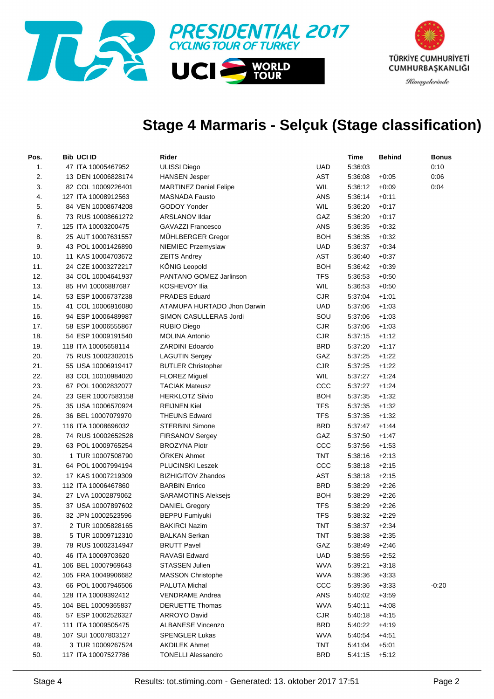

# **Stage 4 Marmaris - Selçuk (Stage classification)**

| Pos. | <b>Bib UCI ID</b>   | Rider                         |            | Time    | Behind  | Bonus   |
|------|---------------------|-------------------------------|------------|---------|---------|---------|
| 1.   | 47 ITA 10005467952  | <b>ULISSI Diego</b>           | UAD        | 5:36:03 |         | 0:10    |
| 2.   | 13 DEN 10006828174  | <b>HANSEN Jesper</b>          | AST        | 5:36:08 | $+0:05$ | 0:06    |
| 3.   | 82 COL 10009226401  | <b>MARTINEZ Daniel Felipe</b> | <b>WIL</b> | 5:36:12 | $+0.09$ | 0:04    |
| 4.   | 127 ITA 10008912563 | MASNADA Fausto                | ANS        | 5:36:14 | $+0:11$ |         |
| 5.   | 84 VEN 10008674208  | GODOY Yonder                  | <b>WIL</b> | 5:36:20 | $+0:17$ |         |
| 6.   | 73 RUS 10008661272  | <b>ARSLANOV IIdar</b>         | GAZ        | 5:36:20 | $+0:17$ |         |
| 7.   | 125 ITA 10003200475 | <b>GAVAZZI Francesco</b>      | ANS        | 5:36:35 | $+0.32$ |         |
| 8.   | 25 AUT 10007631557  | MÜHLBERGER Gregor             | BOH        | 5:36:35 | $+0.32$ |         |
| 9.   | 43 POL 10001426890  | NIEMIEC Przemyslaw            | UAD        | 5:36:37 | $+0.34$ |         |
| 10.  | 11 KAS 10004703672  | <b>ZEITS Andrey</b>           | AST        | 5:36:40 | $+0.37$ |         |
| 11.  | 24 CZE 10003272217  | <b>KÖNIG Leopold</b>          | BOH        | 5:36:42 | $+0.39$ |         |
| 12.  | 34 COL 10004641937  | PANTANO GOMEZ Jarlinson       | <b>TFS</b> | 5:36:53 | $+0.50$ |         |
| 13.  | 85 HVI 10006887687  | KOSHEVOY Ilia                 | <b>WIL</b> | 5:36:53 | $+0.50$ |         |
| 14.  | 53 ESP 10006737238  | <b>PRADES Eduard</b>          | <b>CJR</b> | 5:37:04 | $+1:01$ |         |
| 15.  | 41 COL 10006916080  | ATAMUPA HURTADO Jhon Darwin   | UAD        | 5:37:06 | $+1:03$ |         |
| 16.  | 94 ESP 10006489987  | SIMON CASULLERAS Jordi        | SOU        | 5:37:06 | $+1:03$ |         |
| 17.  | 58 ESP 10006555867  | RUBIO Diego                   | <b>CJR</b> | 5:37:06 | $+1:03$ |         |
| 18.  | 54 ESP 10009191540  | <b>MOLINA Antonio</b>         | <b>CJR</b> | 5:37:15 | $+1:12$ |         |
| 19.  | 118 ITA 10005658114 | ZARDINI Edoardo               | BRD        | 5:37:20 | $+1:17$ |         |
| 20.  | 75 RUS 10002302015  | <b>LAGUTIN Sergey</b>         | GAZ        | 5:37:25 | $+1:22$ |         |
| 21.  | 55 USA 10006919417  | <b>BUTLER Christopher</b>     | <b>CJR</b> | 5:37:25 | $+1:22$ |         |
| 22.  | 83 COL 10010984020  | <b>FLOREZ Miguel</b>          | <b>WIL</b> | 5:37:27 | $+1:24$ |         |
| 23.  | 67 POL 10002832077  | <b>TACIAK Mateusz</b>         | CCC        | 5:37:27 | $+1:24$ |         |
| 24.  | 23 GER 10007583158  | <b>HERKLOTZ Silvio</b>        | BOH        | 5:37:35 | $+1:32$ |         |
| 25.  | 35 USA 10006570924  | <b>REIJNEN Kiel</b>           | <b>TFS</b> | 5:37:35 | $+1:32$ |         |
| 26.  | 36 BEL 10007079970  | <b>THEUNS Edward</b>          | <b>TFS</b> | 5:37:35 | $+1:32$ |         |
| 27.  | 116 ITA 10008696032 | <b>STERBINI Simone</b>        | BRD        | 5:37:47 | $+1:44$ |         |
| 28.  | 74 RUS 10002652528  | FIRSANOV Sergey               | GAZ        | 5:37:50 | $+1:47$ |         |
| 29.  | 63 POL 10009765254  | <b>BROZYNA Piotr</b>          | ccc        | 5:37:56 | $+1:53$ |         |
| 30.  | 1 TUR 10007508790   | <b>ORKEN Ahmet</b>            | TNT        | 5:38:16 | $+2:13$ |         |
| 31.  | 64 POL 10007994194  | <b>PLUCINSKI Leszek</b>       | CCC        | 5:38:18 | $+2:15$ |         |
| 32.  | 17 KAS 10007219309  | <b>BIZHIGITOV Zhandos</b>     | AST        | 5:38:18 | $+2:15$ |         |
| 33.  | 112 ITA 10006467860 | <b>BARBIN Enrico</b>          | BRD        | 5:38:29 | $+2:26$ |         |
| 34.  | 27 LVA 10002879062  | <b>SARAMOTINS Aleksejs</b>    | <b>BOH</b> | 5:38:29 | $+2:26$ |         |
| 35.  | 37 USA 10007897602  | <b>DANIEL Gregory</b>         | <b>TFS</b> | 5:38:29 | $+2:26$ |         |
| 36.  | 32 JPN 10002523596  | <b>BEPPU Fumiyuki</b>         | TFS        | 5:38:32 | $+2:29$ |         |
| 37.  | 2 TUR 10005828165   | <b>BAKIRCI Nazim</b>          | TNT        | 5:38:37 | $+2:34$ |         |
| 38.  | 5 TUR 10009712310   | BALKAN Serkan                 | TNT        | 5:38:38 | $+2:35$ |         |
| 39.  | 78 RUS 10002314947  | <b>BRUTT Pavel</b>            | GAZ        | 5:38:49 | $+2:46$ |         |
| 40.  | 46 ITA 10009703620  | RAVASI Edward                 | UAD        | 5:38:55 | $+2:52$ |         |
| 41.  | 106 BEL 10007969643 | <b>STASSEN Julien</b>         | WVA        | 5:39:21 | $+3:18$ |         |
| 42.  | 105 FRA 10049906682 | <b>MASSON Christophe</b>      | WVA        | 5:39:36 | $+3:33$ |         |
| 43.  | 66 POL 10007946506  | PALUTA Michal                 | CCC        | 5:39:36 | $+3:33$ | $-0:20$ |
| 44.  | 128 ITA 10009392412 | <b>VENDRAME Andrea</b>        | ANS        | 5:40:02 | $+3:59$ |         |
| 45.  | 104 BEL 10009365837 | <b>DERUETTE Thomas</b>        | WVA        | 5.40:11 | $+4:08$ |         |
| 46.  | 57 ESP 10002526327  | ARROYO David                  | <b>CJR</b> | 5:40:18 | $+4:15$ |         |
| 47.  | 111 ITA 10009505475 | <b>ALBANESE Vincenzo</b>      | <b>BRD</b> | 5:40:22 | $+4:19$ |         |
| 48.  | 107 SUI 10007803127 | <b>SPENGLER Lukas</b>         | WVA        | 5:40:54 | $+4:51$ |         |
| 49.  | 3 TUR 10009267524   | <b>AKDILEK Ahmet</b>          | <b>TNT</b> | 5:41:04 | $+5:01$ |         |
| 50.  | 117 ITA 10007527786 | <b>TONELLI Alessandro</b>     | <b>BRD</b> | 5:41:15 | $+5:12$ |         |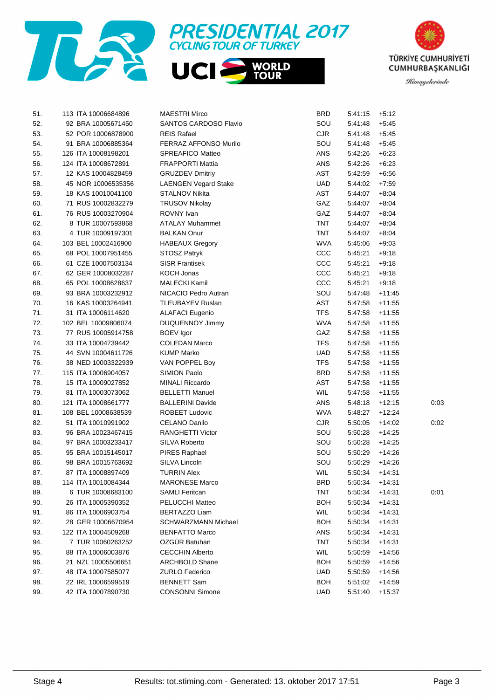





| 51. | 113 ITA 10006684896 | <b>MAESTRI Mirco</b>        | BRD        | 5:41:15 | $+5:12$  |      |
|-----|---------------------|-----------------------------|------------|---------|----------|------|
| 52. | 92 BRA 10005671450  | SANTOS CARDOSO Flavio       | SOU        | 5:41:48 | $+5:45$  |      |
| 53. | 52 POR 10006878900  | <b>REIS Rafael</b>          | CJR        | 5:41:48 | $+5:45$  |      |
| 54. | 91 BRA 10006885364  | FERRAZ AFFONSO Murilo       | SOU        | 5:41:48 | $+5:45$  |      |
| 55. | 126 ITA 10008198201 | SPREAFICO Matteo            | ANS        | 5:42:26 | $+6.23$  |      |
| 56. | 124 ITA 10008672891 | <b>FRAPPORTI Mattia</b>     | ANS        | 5:42:26 | $+6.23$  |      |
| 57. | 12 KAS 10004828459  | <b>GRUZDEV Dmitriy</b>      | AST        | 5:42:59 | $+6.56$  |      |
| 58. | 45 NOR 10006535356  | <b>LAENGEN Vegard Stake</b> | <b>UAD</b> | 5:44:02 | $+7:59$  |      |
| 59. | 18 KAS 10010041100  | STALNOV Nikita              | <b>AST</b> | 5:44:07 | $+8.04$  |      |
| 60. | 71 RUS 10002832279  | <b>TRUSOV Nikolay</b>       | GAZ        | 5:44:07 | $+8.04$  |      |
| 61. | 76 RUS 10003270904  | ROVNY Ivan                  | GAZ        | 5:44:07 | $+8.04$  |      |
| 62. | 8 TUR 10007593868   | <b>ATALAY Muhammet</b>      | <b>TNT</b> | 5:44:07 | $+8.04$  |      |
| 63. | 4 TUR 10009197301   | <b>BALKAN Onur</b>          | <b>TNT</b> | 5:44:07 | $+8.04$  |      |
| 64. | 103 BEL 10002416900 | <b>HABEAUX Gregory</b>      | <b>WVA</b> | 5:45:06 | $+9:03$  |      |
| 65. | 68 POL 10007951455  | STOSZ Patryk                | CCC        | 5:45:21 | $+9:18$  |      |
| 66. | 61 CZE 10007503134  | <b>SISR Frantisek</b>       | CCC        | 5:45:21 | $+9:18$  |      |
| 67. | 62 GER 10008032287  | <b>KOCH Jonas</b>           | CCC        | 5:45:21 | $+9:18$  |      |
| 68. | 65 POL 10008628637  | <b>MALECKI Kamil</b>        | CCC        | 5:45:21 | $+9:18$  |      |
| 69. | 93 BRA 10003232912  | NICACIO Pedro Autran        | SOU        | 5:47:48 | $+11:45$ |      |
| 70. | 16 KAS 10003264941  | TLEUBAYEV Ruslan            | AST        | 5:47:58 | $+11:55$ |      |
| 71. | 31 ITA 10006114620  | <b>ALAFACI Eugenio</b>      | <b>TFS</b> | 5:47:58 | $+11:55$ |      |
| 72. | 102 BEL 10009806074 | <b>DUQUENNOY Jimmy</b>      | <b>WVA</b> | 5:47:58 | $+11:55$ |      |
| 73. | 77 RUS 10005914758  | <b>BOEV</b> Igor            | GAZ        | 5:47:58 | $+11:55$ |      |
| 74. | 33 ITA 10004739442  | <b>COLEDAN Marco</b>        | <b>TFS</b> | 5:47:58 | $+11:55$ |      |
| 75. | 44 SVN 10004611726  | <b>KUMP Marko</b>           | UAD.       | 5:47:58 | $+11:55$ |      |
| 76. | 38 NED 10003322939  | VAN POPPEL Boy              | <b>TFS</b> | 5:47:58 | $+11:55$ |      |
| 77. | 115 ITA 10006904057 | SIMION Paolo                | <b>BRD</b> | 5:47:58 | $+11:55$ |      |
| 78. | 15 ITA 10009027852  | <b>MINALI Riccardo</b>      | AST        | 5:47:58 | $+11:55$ |      |
| 79. | 81 ITA 10003073062  | <b>BELLETTI Manuel</b>      | <b>WIL</b> | 5:47:58 | $+11:55$ |      |
| 80. | 121 ITA 10008661777 | <b>BALLERINI Davide</b>     | ANS        | 5:48:18 | $+12:15$ | 0:03 |
| 81. | 108 BEL 10008638539 | <b>ROBEET Ludovic</b>       | <b>WVA</b> | 5:48:27 | $+12.24$ |      |
| 82. | 51 ITA 10010991902  | <b>CELANO Danilo</b>        | CJR        | 5:50:05 | $+14:02$ | 0:02 |
| 83. | 96 BRA 10023467415  | <b>RANGHETTI Victor</b>     | SOU        | 5:50:28 | $+14:25$ |      |
| 84. | 97 BRA 10003233417  | SILVA Roberto               | SOU        | 5:50:28 | $+14:25$ |      |
| 85. | 95 BRA 10015145017  | PIRES Raphael               | SOU        | 5:50:29 | $+14.26$ |      |
| 86. | 98 BRA 10015763692  | SILVA Lincoln               | SOU        | 5:50:29 | $+14:26$ |      |
| 87. | 87 ITA 10008897409  | <b>TURRIN Alex</b>          | <b>WIL</b> | 5:50:34 | $+14.31$ |      |
| 88. | 114 ITA 10010084344 | <b>MARONESE Marco</b>       | <b>BRD</b> | 5:50:34 | $+14.31$ |      |
| 89. | 6 TUR 10008683100   | <b>SAMLI Feritcan</b>       | TNT        | 5:50:34 | $+14:31$ | 0:01 |
| 90. | 26 ITA 10005390352  | PELUCCHI Matteo             | <b>BOH</b> | 5:50:34 | $+14:31$ |      |
| 91. | 86 ITA 10006903754  | <b>BERTAZZO Liam</b>        | <b>WIL</b> | 5:50:34 | $+14:31$ |      |
| 92. | 28 GER 10006670954  | <b>SCHWARZMANN Michael</b>  | <b>BOH</b> | 5:50:34 | $+14:31$ |      |
| 93. | 122 ITA 10004509268 | <b>BENFATTO Marco</b>       | ANS        | 5:50:34 | $+14:31$ |      |
| 94. | 7 TUR 10060263252   | ÖZGÜR Batuhan               | <b>TNT</b> | 5:50:34 | $+14:31$ |      |
| 95. | 88 ITA 10006003876  | <b>CECCHIN Alberto</b>      | <b>WIL</b> | 5:50:59 | $+14:56$ |      |
| 96. | 21 NZL 10005506651  | <b>ARCHBOLD Shane</b>       | BOH        | 5:50:59 | $+14:56$ |      |
| 97. | 48 ITA 10007585077  | <b>ZURLO Federico</b>       | <b>UAD</b> | 5:50:59 | $+14:56$ |      |
| 98. | 22 IRL 10006599519  | <b>BENNETT Sam</b>          | <b>BOH</b> | 5:51:02 | $+14:59$ |      |
| 99. | 42 ITA 10007890730  | <b>CONSONNI Simone</b>      | <b>UAD</b> | 5:51:40 | $+15:37$ |      |
|     |                     |                             |            |         |          |      |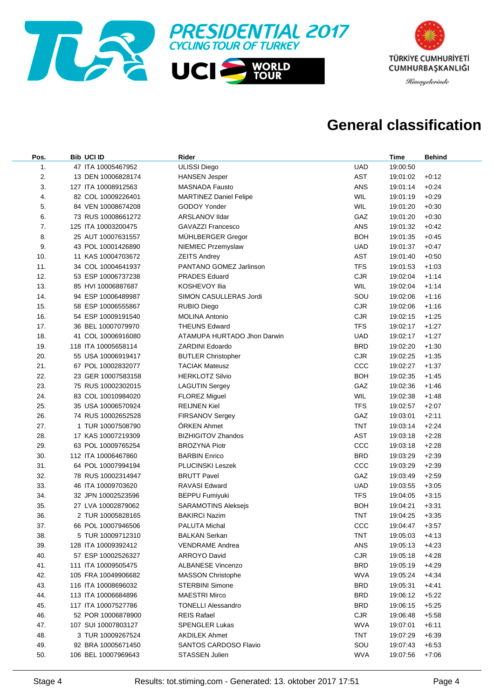



# **General classification**

| Pos. | <b>Bib UCI ID</b>   | Rider                         |            | <b>Time</b> | <b>Behind</b> |
|------|---------------------|-------------------------------|------------|-------------|---------------|
| 1.   | 47 ITA 10005467952  | <b>ULISSI Diego</b>           | <b>UAD</b> | 19:00:50    |               |
| 2.   | 13 DEN 10006828174  | <b>HANSEN Jesper</b>          | <b>AST</b> | 19:01:02    | $+0:12$       |
| 3.   | 127 ITA 10008912563 | <b>MASNADA Fausto</b>         | ANS        | 19:01:14    | $+0.24$       |
| 4.   | 82 COL 10009226401  | <b>MARTINEZ Daniel Felipe</b> | WIL        | 19:01:19    | $+0.29$       |
| 5.   | 84 VEN 10008674208  | GODOY Yonder                  | <b>WIL</b> | 19:01:20    | $+0.30$       |
| 6.   | 73 RUS 10008661272  | ARSLANOV IIdar                | GAZ        | 19:01:20    | $+0.30$       |
| 7.   | 125 ITA 10003200475 | <b>GAVAZZI Francesco</b>      | ANS        | 19:01:32    | $+0.42$       |
| 8.   | 25 AUT 10007631557  | MÜHLBERGER Gregor             | <b>BOH</b> | 19:01:35    | $+0.45$       |
| 9.   | 43 POL 10001426890  | NIEMIEC Przemyslaw            | <b>UAD</b> | 19:01:37    | $+0.47$       |
| 10.  | 11 KAS 10004703672  | <b>ZEITS Andrey</b>           | AST        | 19:01:40    | $+0.50$       |
| 11.  | 34 COL 10004641937  | PANTANO GOMEZ Jarlinson       | <b>TFS</b> | 19:01:53    | $+1:03$       |
| 12.  | 53 ESP 10006737238  | <b>PRADES Eduard</b>          | <b>CJR</b> | 19:02:04    | $+1:14$       |
| 13.  | 85 HVI 10006887687  | KOSHEVOY Ilia                 | WIL        | 19:02:04    | $+1:14$       |
| 14.  | 94 ESP 10006489987  | SIMON CASULLERAS Jordi        | SOU        | 19:02:06    | $+1:16$       |
| 15.  | 58 ESP 10006555867  | <b>RUBIO Diego</b>            | <b>CJR</b> | 19:02:06    | $+1:16$       |
| 16.  | 54 ESP 10009191540  | <b>MOLINA Antonio</b>         | <b>CJR</b> | 19:02:15    | $+1:25$       |
| 17.  | 36 BEL 10007079970  | <b>THEUNS Edward</b>          | <b>TFS</b> | 19:02:17    | $+1:27$       |
| 18.  | 41 COL 10006916080  | ATAMUPA HURTADO Jhon Darwin   | <b>UAD</b> | 19:02:17    | $+1:27$       |
| 19.  | 118 ITA 10005658114 | <b>ZARDINI Edoardo</b>        | <b>BRD</b> | 19:02:20    | $+1:30$       |
| 20.  | 55 USA 10006919417  | <b>BUTLER Christopher</b>     | <b>CJR</b> | 19:02:25    | $+1:35$       |
| 21.  | 67 POL 10002832077  | <b>TACIAK Mateusz</b>         | CCC        | 19:02:27    | $+1:37$       |
| 22.  | 23 GER 10007583158  | <b>HERKLOTZ Silvio</b>        | <b>BOH</b> | 19:02:35    | $+1:45$       |
| 23.  | 75 RUS 10002302015  | <b>LAGUTIN Sergey</b>         | GAZ        | 19:02:36    | $+1:46$       |
| 24.  | 83 COL 10010984020  | <b>FLOREZ Miguel</b>          | WIL        | 19:02:38    | $+1:48$       |
| 25.  | 35 USA 10006570924  | <b>REIJNEN Kiel</b>           | <b>TFS</b> | 19:02:57    | $+2:07$       |
| 26.  | 74 RUS 10002652528  | FIRSANOV Sergey               | GAZ        | 19:03:01    | $+2:11$       |
| 27.  | 1 TUR 10007508790   | <b>ORKEN Ahmet</b>            | <b>TNT</b> | 19:03:14    | $+2:24$       |
| 28.  | 17 KAS 10007219309  | <b>BIZHIGITOV Zhandos</b>     | AST        | 19:03:18    | $+2:28$       |
| 29.  | 63 POL 10009765254  | <b>BROZYNA Piotr</b>          | CCC        | 19:03:18    | $+2:28$       |
| 30.  | 112 ITA 10006467860 | <b>BARBIN Enrico</b>          | <b>BRD</b> | 19:03:29    | $+2:39$       |
| 31.  | 64 POL 10007994194  | PLUCINSKI Leszek              | CCC        | 19:03:29    | $+2:39$       |
| 32.  | 78 RUS 10002314947  | <b>BRUTT Pavel</b>            | GAZ        | 19:03:49    | $+2:59$       |
| 33.  | 46 ITA 10009703620  | <b>RAVASI Edward</b>          | <b>UAD</b> | 19:03:55    | $+3:05$       |
| 34.  | 32 JPN 10002523596  | <b>BEPPU Fumiyuki</b>         | <b>TFS</b> | 19:04:05    | $+3:15$       |
| 35.  | 27 LVA 10002879062  | <b>SARAMOTINS Aleksejs</b>    | <b>BOH</b> | 19:04:21    | $+3:31$       |
| 36.  | 2 TUR 10005828165   | <b>BAKIRCI Nazim</b>          | <b>TNT</b> | 19:04:25    | $+3.35$       |
| 37.  | 66 POL 10007946506  | PALUTA Michal                 | ccc        | 19:04:47    | $+3:57$       |
| 38.  | 5 TUR 10009712310   | <b>BALKAN Serkan</b>          | TNT        | 19:05:03    | $+4:13$       |
| 39.  | 128 ITA 10009392412 | <b>VENDRAME Andrea</b>        | ANS        | 19:05:13    | $+4:23$       |
| 40.  | 57 ESP 10002526327  | <b>ARROYO David</b>           | <b>CJR</b> | 19:05:18    | $+4:28$       |
| 41.  | 111 ITA 10009505475 | <b>ALBANESE Vincenzo</b>      | <b>BRD</b> | 19:05:19    | $+4:29$       |
| 42.  | 105 FRA 10049906682 | <b>MASSON Christophe</b>      | <b>WVA</b> | 19:05:24    | $+4:34$       |
| 43.  | 116 ITA 10008696032 | <b>STERBINI Simone</b>        | <b>BRD</b> | 19:05:31    | $+4:41$       |
| 44.  | 113 ITA 10006684896 | <b>MAESTRI Mirco</b>          | <b>BRD</b> | 19:06:12    | $+5:22$       |
| 45.  | 117 ITA 10007527786 | <b>TONELLI Alessandro</b>     | <b>BRD</b> | 19:06:15    | $+5:25$       |
| 46.  | 52 POR 10006878900  | <b>REIS Rafael</b>            | <b>CJR</b> | 19:06:48    | $+5:58$       |
| 47.  | 107 SUI 10007803127 | <b>SPENGLER Lukas</b>         | <b>WVA</b> | 19:07:01    | $+6:11$       |
| 48.  | 3 TUR 10009267524   | <b>AKDILEK Ahmet</b>          | <b>TNT</b> | 19:07:29    | $+6:39$       |
| 49.  | 92 BRA 10005671450  | SANTOS CARDOSO Flavio         | SOU        | 19:07:43    | $+6:53$       |
| 50.  | 106 BEL 10007969643 | STASSEN Julien                | <b>WVA</b> | 19:07:56    | $+7:06$       |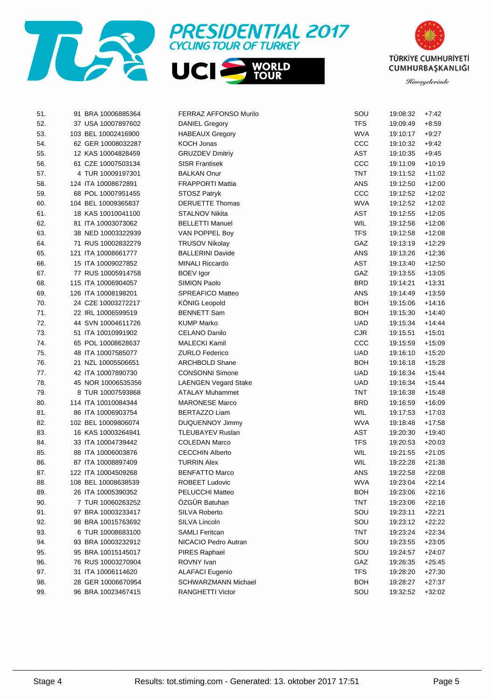





| 51. | 91 BRA 10006885364  | FERRAZ AFFONSO Murilo       | SOU        | 19:08:32 | $+7.42$  |
|-----|---------------------|-----------------------------|------------|----------|----------|
| 52. | 37 USA 10007897602  | <b>DANIEL Gregory</b>       | <b>TFS</b> | 19:09:49 | $+8.59$  |
| 53. | 103 BEL 10002416900 | <b>HABEAUX Gregory</b>      | <b>WVA</b> | 19:10:17 | $+9:27$  |
| 54. | 62 GER 10008032287  | KOCH Jonas                  | CCC        | 19:10:32 | $+9.42$  |
| 55. | 12 KAS 10004828459  | <b>GRUZDEV Dmitriy</b>      | AST        | 19:10:35 | $+9.45$  |
| 56. | 61 CZE 10007503134  | SISR Frantisek              | ccc        | 19:11:09 | $+10:19$ |
| 57. | 4 TUR 10009197301   | <b>BALKAN Onur</b>          | TNT        | 19:11:52 | $+11:02$ |
| 58. | 124 ITA 10008672891 | <b>FRAPPORTI Mattia</b>     | ANS        | 19:12:50 | $+12:00$ |
| 59. | 68 POL 10007951455  | <b>STOSZ Patryk</b>         | ccc        | 19:12:52 | $+12:02$ |
| 60. | 104 BEL 10009365837 | <b>DERUETTE Thomas</b>      | <b>WVA</b> | 19:12:52 | $+12:02$ |
| 61. | 18 KAS 10010041100  | STALNOV Nikita              | AST        | 19:12:55 | $+12:05$ |
| 62. | 81 ITA 10003073062  | <b>BELLETTI Manuel</b>      | WIL        | 19:12:56 | $+12:06$ |
| 63. | 38 NED 10003322939  | VAN POPPEL Boy              | <b>TFS</b> | 19:12:58 | $+12:08$ |
| 64. | 71 RUS 10002832279  | <b>TRUSOV Nikolay</b>       | GAZ        | 19:13:19 | $+12:29$ |
| 65. | 121 ITA 10008661777 | <b>BALLERINI Davide</b>     | ANS        | 19:13:26 | $+12:36$ |
| 66. | 15 ITA 10009027852  | <b>MINALI Riccardo</b>      | <b>AST</b> | 19:13:40 | $+12:50$ |
| 67. | 77 RUS 10005914758  | <b>BOEV</b> Igor            | GAZ        | 19:13:55 | $+13:05$ |
| 68. | 115 ITA 10006904057 | SIMION Paolo                | <b>BRD</b> | 19:14:21 | $+13.31$ |
| 69. | 126 ITA 10008198201 | SPREAFICO Matteo            | ANS        | 19:14:49 | $+13:59$ |
| 70. | 24 CZE 10003272217  | KÖNIG Leopold               | <b>BOH</b> | 19:15:06 | $+14:16$ |
| 71. | 22 IRL 10006599519  | <b>BENNETT Sam</b>          | <b>BOH</b> | 19:15:30 | $+14.40$ |
| 72. | 44 SVN 10004611726  | <b>KUMP Marko</b>           | <b>UAD</b> | 19:15:34 | $+14.44$ |
| 73. | 51 ITA 10010991902  | CELANO Danilo               | <b>CJR</b> | 19:15:51 | $+15.01$ |
| 74. | 65 POL 10008628637  | <b>MALECKI Kamil</b>        | ccc        | 19:15:59 | $+15:09$ |
| 75. | 48 ITA 10007585077  | <b>ZURLO Federico</b>       | <b>UAD</b> | 19:16:10 | $+15:20$ |
| 76. | 21 NZL 10005506651  | <b>ARCHBOLD Shane</b>       | <b>BOH</b> | 19:16:18 | $+15.28$ |
| 77. | 42 ITA 10007890730  | <b>CONSONNI Simone</b>      | <b>UAD</b> | 19:16:34 | $+15:44$ |
| 78. | 45 NOR 10006535356  | <b>LAENGEN Vegard Stake</b> | <b>UAD</b> | 19:16:34 | $+15:44$ |
| 79. | 8 TUR 10007593868   | <b>ATALAY Muhammet</b>      | <b>TNT</b> | 19:16:38 | $+15.48$ |
| 80. | 114 ITA 10010084344 | <b>MARONESE Marco</b>       | <b>BRD</b> | 19:16:59 | $+16:09$ |
| 81. | 86 ITA 10006903754  | <b>BERTAZZO Liam</b>        | <b>WIL</b> | 19:17:53 | $+17:03$ |
| 82. | 102 BEL 10009806074 | DUQUENNOY Jimmy             | <b>WVA</b> | 19:18:48 | $+17:58$ |
| 83. | 16 KAS 10003264941  | TLEUBAYEV Ruslan            | AST        | 19:20:30 | $+19:40$ |
| 84. | 33 ITA 10004739442  | COLEDAN Marco               | <b>TFS</b> | 19:20:53 | $+20:03$ |
| 85. | 88 ITA 10006003876  | <b>CECCHIN Alberto</b>      | WIL        | 19:21:55 | $+21:05$ |
| 86. | 87 ITA 10008897409  | <b>TURRIN Alex</b>          | <b>WIL</b> | 19:22:28 | $+21:38$ |
| 87. | 122 ITA 10004509268 | <b>BENFATTO Marco</b>       | ANS        | 19:22:58 | $+22:08$ |
| 88. | 108 BEL 10008638539 | ROBEET Ludovic              | <b>WVA</b> | 19:23:04 | $+22:14$ |
| 89. | 26 ITA 10005390352  | PELUCCHI Matteo             | <b>BOH</b> | 19:23:06 | $+22:16$ |
| 90. | 7 TUR 10060263252   | ÖZGÜR Batuhan               | <b>TNT</b> | 19:23:06 | $+22:16$ |
| 91. | 97 BRA 10003233417  | SILVA Roberto               | SOU        | 19:23:11 | $+22:21$ |
| 92. | 98 BRA 10015763692  | SILVA Lincoln               | SOU        | 19:23:12 | $+22:22$ |
| 93. | 6 TUR 10008683100   | <b>SAMLI Feritcan</b>       | <b>TNT</b> | 19:23:24 | $+22:34$ |
| 94. | 93 BRA 10003232912  | NICACIO Pedro Autran        | SOU        | 19:23:55 | $+23:05$ |
| 95. | 95 BRA 10015145017  | PIRES Raphael               | SOU        | 19:24:57 | $+24:07$ |
| 96. | 76 RUS 10003270904  | ROVNY Ivan                  | GAZ        | 19:26:35 | $+25:45$ |
| 97. | 31 ITA 10006114620  | <b>ALAFACI Eugenio</b>      | <b>TFS</b> | 19:28:20 | $+27:30$ |
| 98. | 28 GER 10006670954  | SCHWARZMANN Michael         | <b>BOH</b> | 19:28:27 | $+27:37$ |
| 99. | 96 BRA 10023467415  | RANGHETTI Victor            | SOU        | 19:32:52 | $+32:02$ |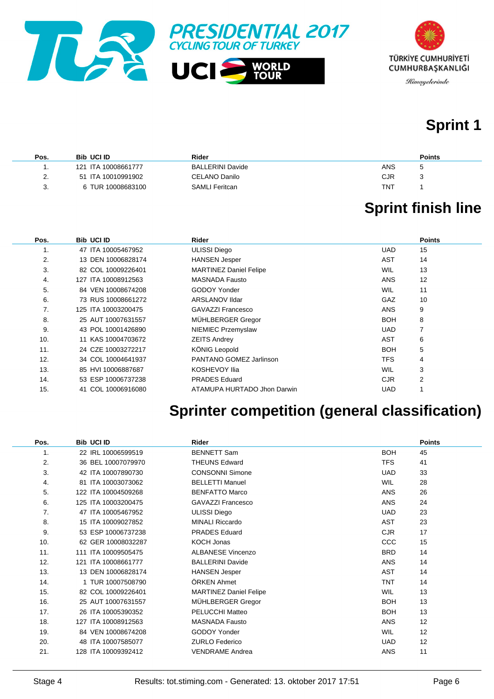



# **Sprint 1**

| Pos. | <b>Bib UCI ID</b>   | Rider                   | <b>Points</b> |
|------|---------------------|-------------------------|---------------|
|      | 121 ITA 10008661777 | <b>BALLERINI Davide</b> | ANS           |
| 2.   | 51 ITA 10010991902  | CELANO Danilo           | CJR           |
| 3.   | 6 TUR 10008683100   | SAMLI Feritcan          | TNT           |

# **Sprint finish line**

| Pos. | <b>Bib UCI ID</b>   | Rider                         |            | <b>Points</b> |
|------|---------------------|-------------------------------|------------|---------------|
| 1.   | 47 ITA 10005467952  | <b>ULISSI Diego</b>           | <b>UAD</b> | 15            |
| 2.   | 13 DEN 10006828174  | <b>HANSEN Jesper</b>          | <b>AST</b> | 14            |
| 3.   | 82 COL 10009226401  | <b>MARTINEZ Daniel Felipe</b> | <b>WIL</b> | 13            |
| 4.   | 127 ITA 10008912563 | MASNADA Fausto                | <b>ANS</b> | 12            |
| 5.   | 84 VEN 10008674208  | GODOY Yonder                  | <b>WIL</b> | 11            |
| 6.   | 73 RUS 10008661272  | ARSLANOV IIdar                | GAZ        | 10            |
| 7.   | 125 ITA 10003200475 | GAVAZZI Francesco             | <b>ANS</b> | 9             |
| 8.   | 25 AUT 10007631557  | MÜHLBERGER Gregor             | <b>BOH</b> | 8             |
| 9.   | 43 POL 10001426890  | NIEMIEC Przemyslaw            | <b>UAD</b> | 7             |
| 10.  | 11 KAS 10004703672  | <b>ZEITS Andrey</b>           | <b>AST</b> | 6             |
| 11.  | 24 CZE 10003272217  | <b>KÖNIG Leopold</b>          | <b>BOH</b> | 5             |
| 12.  | 34 COL 10004641937  | PANTANO GOMEZ Jarlinson       | <b>TFS</b> | 4             |
| 13.  | 85 HVI 10006887687  | KOSHEVOY Ilia                 | <b>WIL</b> | 3             |
| 14.  | 53 ESP 10006737238  | <b>PRADES</b> Eduard          | <b>CJR</b> | 2             |
| 15.  | 41 COL 10006916080  | ATAMUPA HURTADO Jhon Darwin   | <b>UAD</b> |               |

# **Sprinter competition (general classification)**

| Pos.           | <b>Bib UCI ID</b>   | <b>Rider</b>                  |            | <b>Points</b> |
|----------------|---------------------|-------------------------------|------------|---------------|
| $\mathbf{1}$ . | 22 IRL 10006599519  | <b>BENNETT Sam</b>            | <b>BOH</b> | 45            |
| 2.             | 36 BEL 10007079970  | <b>THEUNS Edward</b>          | <b>TFS</b> | 41            |
| 3.             | 42 ITA 10007890730  | <b>CONSONNI Simone</b>        | <b>UAD</b> | 33            |
| 4.             | 81 ITA 10003073062  | <b>BELLETTI Manuel</b>        | <b>WIL</b> | 28            |
| 5.             | 122 ITA 10004509268 | <b>BENFATTO Marco</b>         | <b>ANS</b> | 26            |
| 6.             | 125 ITA 10003200475 | <b>GAVAZZI Francesco</b>      | <b>ANS</b> | 24            |
| 7.             | 47 ITA 10005467952  | <b>ULISSI Diego</b>           | <b>UAD</b> | 23            |
| 8.             | 15 ITA 10009027852  | <b>MINALI Riccardo</b>        | <b>AST</b> | 23            |
| 9.             | 53 ESP 10006737238  | <b>PRADES Eduard</b>          | <b>CJR</b> | 17            |
| 10.            | 62 GER 10008032287  | KOCH Jonas                    | <b>CCC</b> | 15            |
| 11.            | 111 ITA 10009505475 | <b>ALBANESE Vincenzo</b>      | <b>BRD</b> | 14            |
| 12.            | 121 ITA 10008661777 | <b>BALLERINI Davide</b>       | <b>ANS</b> | 14            |
| 13.            | 13 DEN 10006828174  | <b>HANSEN Jesper</b>          | <b>AST</b> | 14            |
| 14.            | 1 TUR 10007508790   | ÖRKEN Ahmet                   | <b>TNT</b> | 14            |
| 15.            | 82 COL 10009226401  | <b>MARTINEZ Daniel Felipe</b> | <b>WIL</b> | 13            |
| 16.            | 25 AUT 10007631557  | MÜHLBERGER Gregor             | <b>BOH</b> | 13            |
| 17.            | 26 ITA 10005390352  | <b>PELUCCHI Matteo</b>        | <b>BOH</b> | 13            |
| 18.            | 127 ITA 10008912563 | <b>MASNADA Fausto</b>         | <b>ANS</b> | 12            |
| 19.            | 84 VEN 10008674208  | <b>GODOY Yonder</b>           | <b>WIL</b> | 12            |
| 20.            | 48 ITA 10007585077  | <b>ZURLO Federico</b>         | <b>UAD</b> | 12            |
| 21.            | 128 ITA 10009392412 | <b>VENDRAME Andrea</b>        | <b>ANS</b> | 11            |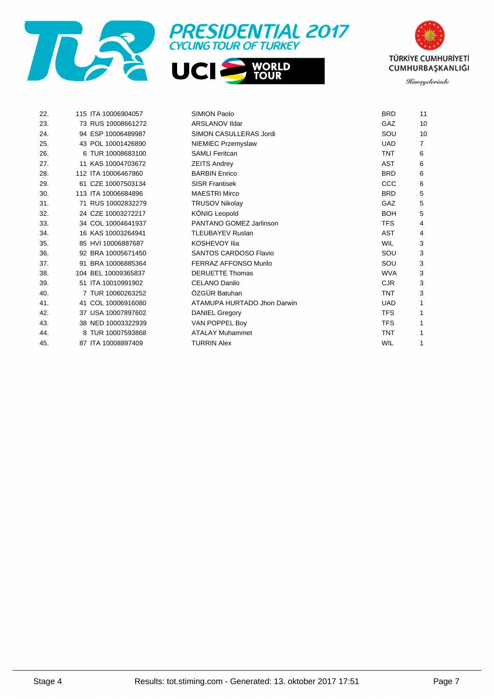





| 22. | 115 ITA 10006904057 | SIMION Paolo                  | <b>BRD</b> | 11 |
|-----|---------------------|-------------------------------|------------|----|
| 23. | 73 RUS 10008661272  | <b>ARSLANOV IIdar</b>         | <b>GAZ</b> | 10 |
| 24. | 94 ESP 10006489987  | <b>SIMON CASULLERAS Jordi</b> | SOU        | 10 |
| 25. | 43 POL 10001426890  | NIEMIEC Przemyslaw            | <b>UAD</b> | 7  |
| 26. | 6 TUR 10008683100   | <b>SAMLI Feritcan</b>         | <b>TNT</b> | 6  |
| 27. | 11 KAS 10004703672  | <b>ZEITS Andrey</b>           | AST        | 6  |
| 28. | 112 ITA 10006467860 | <b>BARBIN Enrico</b>          | <b>BRD</b> | 6  |
| 29. | 61 CZE 10007503134  | <b>SISR Frantisek</b>         | CCC        | 6  |
| 30. | 113 ITA 10006684896 | <b>MAESTRI Mirco</b>          | <b>BRD</b> | 5  |
| 31. | 71 RUS 10002832279  | <b>TRUSOV Nikolay</b>         | GAZ        | 5  |
| 32. | 24 CZE 10003272217  | KÖNIG Leopold                 | <b>BOH</b> | 5  |
| 33. | 34 COL 10004641937  | PANTANO GOMEZ Jarlinson       | <b>TFS</b> | 4  |
| 34. | 16 KAS 10003264941  | <b>TLEUBAYEV Ruslan</b>       | <b>AST</b> | 4  |
| 35. | 85 HVI 10006887687  | <b>KOSHEVOY Ilia</b>          | <b>WIL</b> | 3  |
| 36. | 92 BRA 10005671450  | <b>SANTOS CARDOSO Flavio</b>  | SOU        | 3  |
| 37. | 91 BRA 10006885364  | <b>FERRAZ AFFONSO Murilo</b>  | SOU        | 3  |
| 38. | 104 BEL 10009365837 | <b>DERUETTE Thomas</b>        | <b>WVA</b> | 3  |
| 39. | 51 ITA 10010991902  | <b>CELANO Danilo</b>          | <b>CJR</b> | 3  |
| 40. | 7 TUR 10060263252   | ÖZGÜR Batuhan                 | <b>TNT</b> | 3  |
| 41. | 41 COL 10006916080  | ATAMUPA HURTADO Jhon Darwin   | <b>UAD</b> | 1  |
| 42. | 37 USA 10007897602  | <b>DANIEL Gregory</b>         | <b>TFS</b> |    |
| 43. | 38 NED 10003322939  | VAN POPPEL Boy                | <b>TFS</b> |    |
| 44. | 8 TUR 10007593868   | <b>ATALAY Muhammet</b>        | <b>TNT</b> | 1  |
| 45. | 87 ITA 10008897409  | <b>TURRIN Alex</b>            | <b>WIL</b> | 1  |
|     |                     |                               |            |    |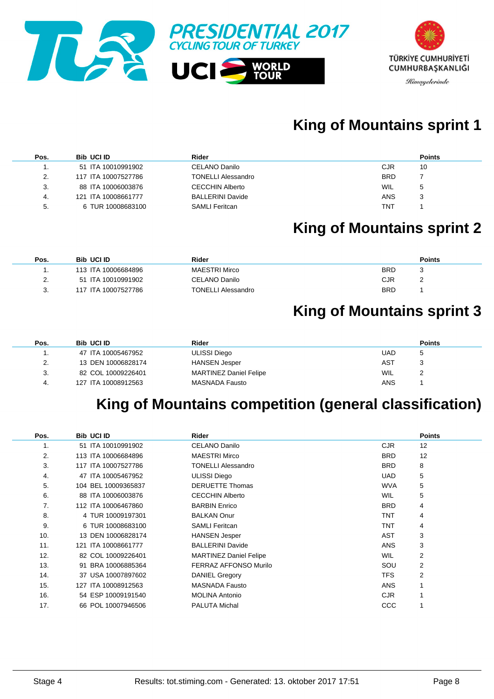

# **King of Mountains sprint 1**

| Pos. | <b>Bib UCI ID</b>   | Rider                     | <b>Points</b> |
|------|---------------------|---------------------------|---------------|
| . .  | 51 ITA 10010991902  | CELANO Danilo             | CJR<br>10     |
| 2.   | 117 ITA 10007527786 | <b>TONELLI Alessandro</b> | <b>BRD</b>    |
| 3.   | 88 ITA 10006003876  | <b>CECCHIN Alberto</b>    | WIL<br>5      |
| 4.   | 121 ITA 10008661777 | <b>BALLERINI Davide</b>   | ANS<br>J      |
| -5.  | 6 TUR 10008683100   | <b>SAMLI Feritcan</b>     | TNT           |

# **King of Mountains sprint 2**

| Pos.        | <b>Bib UCI ID</b>   | Rider                     | <b>Points</b> |  |
|-------------|---------------------|---------------------------|---------------|--|
|             | 113 ITA 10006684896 | <b>MAESTRI Mirco</b>      | <b>BRD</b>    |  |
| <u>. . </u> | 51 ITA 10010991902  | CELANO Danilo             | CJR           |  |
| J.          | 117 ITA 10007527786 | <b>TONELLI Alessandro</b> | <b>BRD</b>    |  |

### **King of Mountains sprint 3**

| Pos.                      | <b>Bib UCI ID</b>   | Rider                         | <b>Points</b> |
|---------------------------|---------------------|-------------------------------|---------------|
|                           | 47 ITA 10005467952  | ULISSI Diego                  | UAD           |
| $\mathcal{P}$<br><u>.</u> | 13 DEN 10006828174  | <b>HANSEN Jesper</b>          | AST           |
| 3.                        | 82 COL 10009226401  | <b>MARTINEZ Daniel Felipe</b> | <b>WIL</b>    |
| 4.                        | 127 ITA 10008912563 | MASNADA Fausto                | ANS           |

# **King of Mountains competition (general classification)**

| Pos. | <b>Bib UCI ID</b>   | Rider                         |            | <b>Points</b>  |
|------|---------------------|-------------------------------|------------|----------------|
| 1.   | 51 ITA 10010991902  | CELANO Danilo                 | <b>CJR</b> | 12             |
| 2.   | 113 ITA 10006684896 | <b>MAESTRI Mirco</b>          | <b>BRD</b> | 12             |
| 3.   | 117 ITA 10007527786 | TONELLI Alessandro            | <b>BRD</b> | 8              |
| 4.   | 47 ITA 10005467952  | <b>ULISSI Diego</b>           | <b>UAD</b> | 5              |
| 5.   | 104 BEL 10009365837 | <b>DERUETTE Thomas</b>        | <b>WVA</b> | 5              |
| 6.   | 88 ITA 10006003876  | <b>CECCHIN Alberto</b>        | <b>WIL</b> | 5              |
| 7.   | 112 ITA 10006467860 | <b>BARBIN Enrico</b>          | <b>BRD</b> | 4              |
| 8.   | 4 TUR 10009197301   | <b>BALKAN Onur</b>            | <b>TNT</b> | 4              |
| 9.   | 6 TUR 10008683100   | <b>SAMLI Feritcan</b>         | <b>TNT</b> | 4              |
| 10.  | 13 DEN 10006828174  | <b>HANSEN Jesper</b>          | <b>AST</b> | 3              |
| 11.  | 121 ITA 10008661777 | <b>BALLERINI Davide</b>       | <b>ANS</b> | 3              |
| 12.  | 82 COL 10009226401  | <b>MARTINEZ Daniel Felipe</b> | <b>WIL</b> | 2              |
| 13.  | 91 BRA 10006885364  | FERRAZ AFFONSO Murilo         | SOU        | 2              |
| 14.  | 37 USA 10007897602  | <b>DANIEL Gregory</b>         | <b>TFS</b> | $\overline{2}$ |
| 15.  | 127 ITA 10008912563 | <b>MASNADA Fausto</b>         | <b>ANS</b> |                |
| 16.  | 54 ESP 10009191540  | <b>MOLINA Antonio</b>         | <b>CJR</b> |                |
| 17.  | 66 POL 10007946506  | <b>PALUTA Michal</b>          | CCC        |                |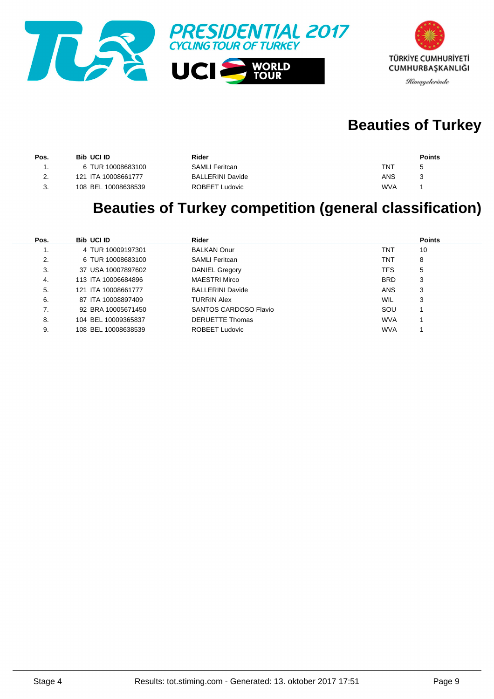



# **Beauties of Turkey**

| Pos.          | <b>Bib UCI ID</b>   | Rider                   |            | <b>Points</b> |
|---------------|---------------------|-------------------------|------------|---------------|
|               | 6 TUR 10008683100   | <b>SAMLI Feritcan</b>   | TNT        |               |
| $\mathcal{L}$ | 121 ITA 10008661777 | <b>BALLERINI Davide</b> | ANS        |               |
| 3.            | 108 BEL 10008638539 | ROBEET Ludovic          | <b>WVA</b> |               |

# **Beauties of Turkey competition (general classification)**

| Pos. | <b>Bib UCI ID</b>   | Rider                   |            | <b>Points</b> |
|------|---------------------|-------------------------|------------|---------------|
|      | 4 TUR 10009197301   | <b>BALKAN Onur</b>      | TNT        | 10            |
| 2.   | 6 TUR 10008683100   | <b>SAMLI Feritcan</b>   | TNT        | 8             |
| 3.   | 37 USA 10007897602  | DANIEL Gregory          | TFS        | 5             |
| 4.   | 113 ITA 10006684896 | <b>MAESTRI Mirco</b>    | <b>BRD</b> | 3             |
| 5.   | 121 ITA 10008661777 | <b>BALLERINI Davide</b> | <b>ANS</b> | 3             |
| 6.   | 87 ITA 10008897409  | <b>TURRIN Alex</b>      | <b>WIL</b> | 3             |
| 7.   | 92 BRA 10005671450  | SANTOS CARDOSO Flavio   | SOU        |               |
| 8.   | 104 BEL 10009365837 | <b>DERUETTE Thomas</b>  | <b>WVA</b> |               |
| 9.   | 108 BEL 10008638539 | ROBEET Ludovic          | <b>WVA</b> |               |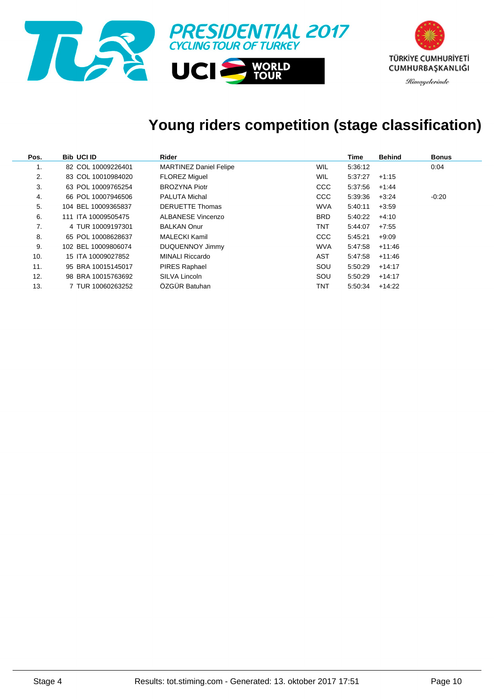

# **Young riders competition (stage classification)**

| Pos. | <b>Bib UCI ID</b>   | Rider                         |            | Time    | <b>Behind</b> | <b>Bonus</b> |
|------|---------------------|-------------------------------|------------|---------|---------------|--------------|
| 1.   | 82 COL 10009226401  | <b>MARTINEZ Daniel Felipe</b> | <b>WIL</b> | 5:36:12 |               | 0:04         |
| 2.   | 83 COL 10010984020  | <b>FLOREZ Miguel</b>          | <b>WIL</b> | 5:37:27 | $+1:15$       |              |
| 3.   | 63 POL 10009765254  | <b>BROZYNA Piotr</b>          | <b>CCC</b> | 5:37:56 | $+1.44$       |              |
| 4.   | 66 POL 10007946506  | <b>PALUTA Michal</b>          | <b>CCC</b> | 5:39:36 | $+3:24$       | $-0.20$      |
| 5.   | 104 BEL 10009365837 | <b>DERUETTE Thomas</b>        | <b>WVA</b> | 5:40:11 | $+3.59$       |              |
| 6.   | 111 ITA 10009505475 | <b>ALBANESE Vincenzo</b>      | <b>BRD</b> | 5:40:22 | $+4:10$       |              |
| 7.   | 4 TUR 10009197301   | <b>BALKAN Onur</b>            | TNT        | 5:44:07 | $+7.55$       |              |
| 8.   | 65 POL 10008628637  | MALECKI Kamil                 | <b>CCC</b> | 5:45:21 | $+9:09$       |              |
| 9.   | 102 BEL 10009806074 | DUQUENNOY Jimmy               | <b>WVA</b> | 5:47:58 | $+11:46$      |              |
| 10.  | 15 ITA 10009027852  | <b>MINALI Riccardo</b>        | AST        | 5:47:58 | $+11:46$      |              |
| 11.  | 95 BRA 10015145017  | PIRES Raphael                 | SOU        | 5:50:29 | $+14:17$      |              |
| 12.  | 98 BRA 10015763692  | SILVA Lincoln                 | SOU        | 5:50:29 | $+14:17$      |              |
| 13.  | 7 TUR 10060263252   | ÖZGÜR Batuhan                 | TNT        | 5:50:34 | $+14.22$      |              |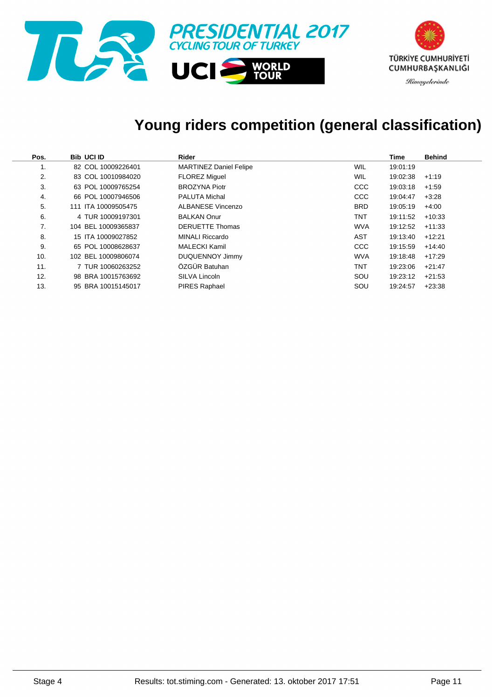

# **Young riders competition (general classification)**

| Pos. | <b>Bib UCI ID</b>   | Rider                         |            | Time     | <b>Behind</b> |
|------|---------------------|-------------------------------|------------|----------|---------------|
| .,   | 82 COL 10009226401  | <b>MARTINEZ Daniel Felipe</b> | WIL        | 19:01:19 |               |
| 2.   | 83 COL 10010984020  | <b>FLOREZ Miquel</b>          | WIL        | 19:02:38 | $+1:19$       |
| 3.   | 63 POL 10009765254  | <b>BROZYNA Piotr</b>          | <b>CCC</b> | 19:03:18 | $+1:59$       |
| 4.   | 66 POL 10007946506  | <b>PALUTA Michal</b>          | <b>CCC</b> | 19:04:47 | $+3.28$       |
| 5.   | 111 ITA 10009505475 | ALBANESE Vincenzo             | <b>BRD</b> | 19:05:19 | $+4.00$       |
| 6.   | 4 TUR 10009197301   | <b>BALKAN Onur</b>            | <b>TNT</b> | 19:11:52 | $+10:33$      |
| 7.   | 104 BEL 10009365837 | <b>DERUETTE Thomas</b>        | <b>WVA</b> | 19:12:52 | $+11:33$      |
| 8.   | 15 ITA 10009027852  | <b>MINALI Riccardo</b>        | AST        | 19:13:40 | $+12:21$      |
| 9.   | 65 POL 10008628637  | <b>MALECKI Kamil</b>          | <b>CCC</b> | 19:15:59 | $+14.40$      |
| 10.  | 102 BEL 10009806074 | <b>DUQUENNOY Jimmy</b>        | <b>WVA</b> | 19:18:48 | $+17:29$      |
| 11.  | 7 TUR 10060263252   | ÖZGÜR Batuhan                 | <b>TNT</b> | 19:23:06 | $+21:47$      |
| 12.  | 98 BRA 10015763692  | SILVA Lincoln                 | SOU        | 19:23:12 | $+21:53$      |
| 13.  | 95 BRA 10015145017  | <b>PIRES Raphael</b>          | SOU        | 19:24:57 | $+23:38$      |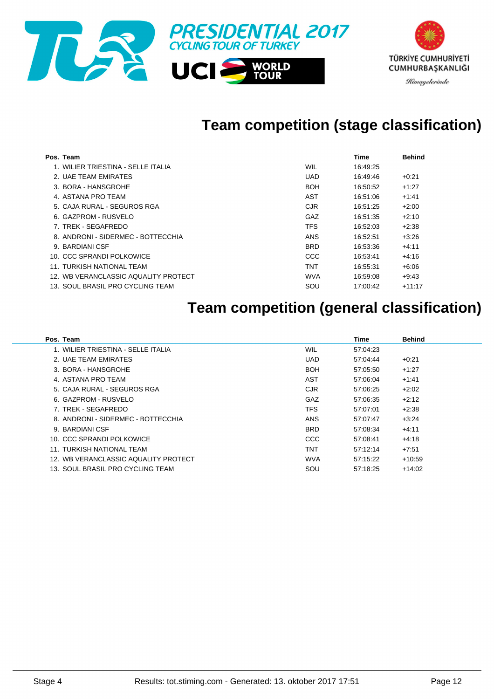

# **Team competition (stage classification)**

| Pos. Team                            |            | Time     | <b>Behind</b> |
|--------------------------------------|------------|----------|---------------|
| 1. WILIER TRIESTINA - SELLE ITALIA   | <b>WIL</b> | 16:49:25 |               |
| 2. UAE TEAM EMIRATES                 | <b>UAD</b> | 16:49:46 | $+0.21$       |
| 3. BORA - HANSGROHE                  | <b>BOH</b> | 16:50:52 | $+1:27$       |
| 4. ASTANA PRO TEAM                   | AST        | 16:51:06 | $+1:41$       |
| 5. CAJA RURAL - SEGUROS RGA          | <b>CJR</b> | 16:51:25 | $+2:00$       |
| 6. GAZPROM - RUSVELO                 | <b>GAZ</b> | 16:51:35 | $+2:10$       |
| 7. TREK - SEGAFREDO                  | <b>TFS</b> | 16:52:03 | $+2.38$       |
| 8. ANDRONI - SIDERMEC - BOTTECCHIA   | <b>ANS</b> | 16:52:51 | $+3.26$       |
| 9. BARDIANI CSF                      | <b>BRD</b> | 16:53:36 | $+4:11$       |
| 10. CCC SPRANDI POLKOWICE            | CCC        | 16:53:41 | $+4:16$       |
| 11. TURKISH NATIONAL TEAM            | <b>TNT</b> | 16:55:31 | $+6:06$       |
| 12. WB VERANCLASSIC AQUALITY PROTECT | <b>WVA</b> | 16:59:08 | $+9.43$       |
| 13. SOUL BRASIL PRO CYCLING TEAM     | SOU        | 17:00:42 | $+11:17$      |

# **Team competition (general classification)**

| Pos. Team                            |            | Time     | <b>Behind</b> |
|--------------------------------------|------------|----------|---------------|
| 1. WILIER TRIESTINA - SELLE ITALIA   | WIL        | 57:04:23 |               |
| 2. UAE TEAM EMIRATES                 | <b>UAD</b> | 57:04:44 | $+0.21$       |
| 3. BORA - HANSGROHE                  | <b>BOH</b> | 57:05:50 | $+1.27$       |
| 4. ASTANA PRO TEAM                   | AST        | 57:06:04 | $+1:41$       |
| 5. CAJA RURAL - SEGUROS RGA          | <b>CJR</b> | 57:06:25 | $+2:02$       |
| 6. GAZPROM - RUSVELO                 | GAZ        | 57:06:35 | $+2:12$       |
| 7. TREK - SEGAFREDO                  | <b>TFS</b> | 57:07:01 | $+2:38$       |
| 8. ANDRONI - SIDERMEC - BOTTECCHIA   | <b>ANS</b> | 57:07:47 | $+3:24$       |
| 9. BARDIANI CSF                      | <b>BRD</b> | 57:08:34 | $+4:11$       |
| 10. CCC SPRANDI POLKOWICE            | CCC        | 57:08:41 | $+4:18$       |
| 11. TURKISH NATIONAL TEAM            | <b>TNT</b> | 57:12:14 | $+7.51$       |
| 12. WB VERANCLASSIC AQUALITY PROTECT | <b>WVA</b> | 57:15:22 | $+10.59$      |
| 13. SOUL BRASIL PRO CYCLING TEAM     | SOU        | 57:18:25 | $+14:02$      |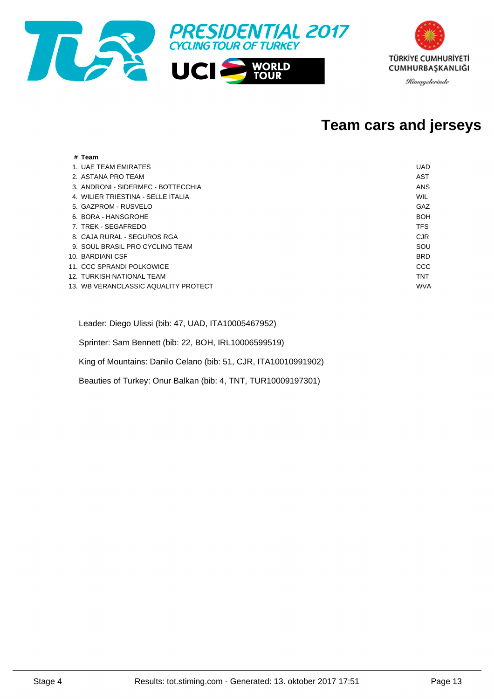

### **Team cars and jerseys**

| # Team                               |            |
|--------------------------------------|------------|
| 1. UAE TEAM EMIRATES                 | <b>UAD</b> |
| 2. ASTANA PRO TEAM                   | AST        |
| 3. ANDRONI - SIDERMEC - BOTTECCHIA   | ANS        |
| 4. WILIER TRIESTINA - SELLE ITALIA   | WIL        |
| 5. GAZPROM - RUSVELO                 | GAZ        |
| 6. BORA - HANSGROHE                  | <b>BOH</b> |
| 7. TREK - SEGAFREDO                  | <b>TFS</b> |
| 8. CAJA RURAL - SEGUROS RGA          | <b>CJR</b> |
| 9. SOUL BRASIL PRO CYCLING TEAM      | SOU        |
| 10. BARDIANI CSF                     | <b>BRD</b> |
| 11. CCC SPRANDI POLKOWICE            | CCC        |
| 12. TURKISH NATIONAL TEAM            | <b>TNT</b> |
| 13. WB VERANCLASSIC AQUALITY PROTECT | <b>WVA</b> |
|                                      |            |

Leader: Diego Ulissi (bib: 47, UAD, ITA10005467952)

Sprinter: Sam Bennett (bib: 22, BOH, IRL10006599519)

King of Mountains: Danilo Celano (bib: 51, CJR, ITA10010991902)

Beauties of Turkey: Onur Balkan (bib: 4, TNT, TUR10009197301)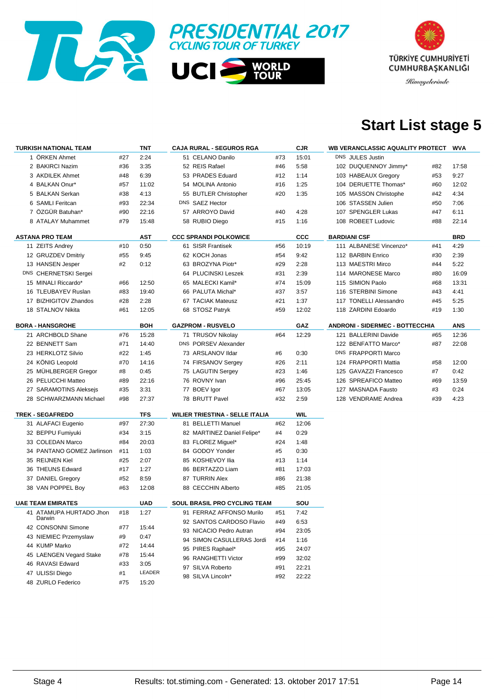



# **Start List stage 5**

| <b>TURKISH NATIONAL TEAM</b> |     | TNT        | <b>CAJA RURAL - SEGUROS RGA</b>        |     | CJR   |                                        | WB VERANCLASSIC AQUALITY PROTECT |     | WVA        |
|------------------------------|-----|------------|----------------------------------------|-----|-------|----------------------------------------|----------------------------------|-----|------------|
| 1 ÖRKEN Ahmet                | #27 | 2:24       | 51 CELANO Danilo                       | #73 | 15:01 |                                        | DNS JULES Justin                 |     |            |
| 2 BAKIRCI Nazim              | #36 | 3:35       | 52 REIS Rafael                         | #46 | 5:58  |                                        | 102 DUQUENNOY Jimmy*             | #82 | 17:58      |
| 3 AKDILEK Ahmet              | #48 | 6:39       | 53 PRADES Eduard                       | #12 | 1:14  |                                        | 103 HABEAUX Gregory              | #53 | 9:27       |
| 4 BALKAN Onur*               | #57 | 11:02      | 54 MOLINA Antonio                      | #16 | 1:25  |                                        | 104 DERUETTE Thomas*             | #60 | 12:02      |
| 5 BALKAN Serkan              | #38 | 4:13       | 55 BUTLER Christopher                  | #20 | 1:35  |                                        | 105 MASSON Christophe            | #42 | 4:34       |
| 6 SAMLI Feritcan             | #93 | 22:34      | DNS SAEZ Hector                        |     |       |                                        | 106 STASSEN Julien               | #50 | 7:06       |
| 7 ÖZGÜR Batuhan*             | #90 | 22:16      | 57 ARROYO David                        | #40 | 4:28  |                                        | 107 SPENGLER Lukas               | #47 | 6:11       |
| 8 ATALAY Muhammet            | #79 | 15:48      | 58 RUBIO Diego                         | #15 | 1:16  |                                        | 108 ROBEET Ludovic               | #88 | 22:14      |
|                              |     |            |                                        |     |       |                                        |                                  |     |            |
| <b>ASTANA PRO TEAM</b>       |     | <b>AST</b> | <b>CCC SPRANDI POLKOWICE</b>           |     | CCC   |                                        | <b>BARDIANI CSF</b>              |     | <b>BRD</b> |
| 11 ZEITS Andrey              | #10 | 0:50       | 61 SISR Frantisek                      | #56 | 10:19 |                                        | 111 ALBANESE Vincenzo*           | #41 | 4:29       |
| 12 GRUZDEV Dmitriy           | #55 | 9:45       | 62 KOCH Jonas                          | #54 | 9:42  |                                        | 112 BARBIN Enrico                | #30 | 2:39       |
| 13 HANSEN Jesper             | #2  | 0:12       | 63 BROZYNA Piotr*                      | #29 | 2:28  |                                        | 113 MAESTRI Mirco                | #44 | 5:22       |
| DNS CHERNETSKI Sergei        |     |            | 64 PLUCINSKI Leszek                    | #31 | 2:39  |                                        | 114 MARONESE Marco               | #80 | 16:09      |
| 15 MINALI Riccardo*          | #66 | 12:50      | 65 MALECKI Kamil*                      | #74 | 15:09 |                                        | 115 SIMION Paolo                 | #68 | 13:31      |
| 16 TLEUBAYEV Ruslan          | #83 | 19:40      | 66 PALUTA Michal*                      | #37 | 3:57  |                                        | 116 STERBINI Simone              | #43 | 4:41       |
| 17 BIZHIGITOV Zhandos        | #28 | 2:28       | 67 TACIAK Mateusz                      | #21 | 1:37  |                                        | 117 TONELLI Alessandro           | #45 | 5:25       |
| 18 STALNOV Nikita            | #61 | 12:05      | 68 STOSZ Patryk                        | #59 | 12:02 |                                        | 118 ZARDINI Edoardo              | #19 | 1:30       |
| <b>BORA - HANSGROHE</b>      |     | <b>BOH</b> | <b>GAZPROM - RUSVELO</b>               |     | GAZ   | <b>ANDRONI - SIDERMEC - BOTTECCHIA</b> |                                  |     | ANS        |
| 21 ARCHBOLD Shane            | #76 | 15:28      | 71 TRUSOV Nikolay                      | #64 | 12:29 |                                        | 121 BALLERINI Davide             | #65 | 12:36      |
| 22 BENNETT Sam               | #71 | 14:40      | DNS PORSEV Alexander                   |     |       |                                        | 122 BENFATTO Marco*              | #87 | 22:08      |
| 23 HERKLOTZ Silvio           | #22 | 1:45       | 73 ARSLANOV Ildar                      | #6  | 0:30  |                                        | DNS FRAPPORTI Marco              |     |            |
| 24 KÖNIG Leopold             | #70 | 14:16      | 74 FIRSANOV Sergey                     | #26 | 2:11  |                                        | 124 FRAPPORTI Mattia             | #58 | 12:00      |
| 25 MUHLBERGER Gregor         | #8  | 0:45       | 75 LAGUTIN Sergey                      | #23 | 1:46  |                                        | 125 GAVAZZI Francesco            | #7  | 0:42       |
| 26 PELUCCHI Matteo           | #89 | 22:16      | 76 ROVNY Ivan                          | #96 | 25:45 |                                        | 126 SPREAFICO Matteo             | #69 | 13:59      |
| 27 SARAMOTINS Aleksejs       | #35 | 3:31       | 77 BOEV Igor                           | #67 | 13:05 |                                        | 127 MASNADA Fausto               | #3  | 0:24       |
| 28 SCHWARZMANN Michael       | #98 | 27:37      | 78 BRUTT Pavel                         | #32 | 2:59  |                                        | 128 VENDRAME Andrea              | #39 | 4:23       |
|                              |     |            |                                        |     |       |                                        |                                  |     |            |
| <b>TREK - SEGAFREDO</b>      |     | <b>TFS</b> | <b>WILIER TRIESTINA - SELLE ITALIA</b> |     | WIL   |                                        |                                  |     |            |
| 31 ALAFACI Eugenio           | #97 | 27:30      | 81 BELLETTI Manuel                     | #62 | 12:06 |                                        |                                  |     |            |
| 32 BEPPU Fumiyuki            | #34 | 3:15       | 82 MARTINEZ Daniel Felipe*             | #4  | 0:29  |                                        |                                  |     |            |
| 33 COLEDAN Marco             | #84 | 20:03      | 83 FLOREZ Miguel*                      | #24 | 1:48  |                                        |                                  |     |            |
| 34 PANTANO GOMEZ Jarlinson   | #11 | 1:03       | 84 GODOY Yonder                        | #5  | 0:30  |                                        |                                  |     |            |
| 35 REIJNEN Kiel              | #25 | 2:07       | 85 KOSHEVOY Ilia                       | #13 | 1:14  |                                        |                                  |     |            |
| 36 THEUNS Edward             | #17 | 1:27       | 86 BERTAZZO Liam                       | #81 | 17:03 |                                        |                                  |     |            |
| 37 DANIEL Gregory            | #52 | 8:59       | 87 TURRIN Alex                         | #86 | 21:38 |                                        |                                  |     |            |
| 38 VAN POPPEL Boy            | #63 | 12:08      | 88 CECCHIN Alberto                     | #85 | 21:05 |                                        |                                  |     |            |
| <b>UAE TEAM EMIRATES</b>     |     | <b>UAD</b> | <b>SOUL BRASIL PRO CYCLING TEAM</b>    |     | SOU   |                                        |                                  |     |            |
| 41 ATAMUPA HURTADO Jhon      | #18 | 1:27       | 91 FERRAZ AFFONSO Murilo               | #51 | 7:42  |                                        |                                  |     |            |
| Darwin                       |     |            | 92 SANTOS CARDOSO Flavio               | #49 | 6:53  |                                        |                                  |     |            |
| 42 CONSONNI Simone           | #77 | 15:44      | 93 NICACIO Pedro Autran                | #94 | 23:05 |                                        |                                  |     |            |
| 43 NIEMIEC Przemyslaw        | #9  | 0:47       | 94 SIMON CASULLERAS Jordi              | #14 | 1:16  |                                        |                                  |     |            |
| 44 KUMP Marko                | #72 | 14:44      | 95 PIRES Raphael*                      | #95 | 24:07 |                                        |                                  |     |            |
| 45 LAENGEN Vegard Stake      | #78 | 15:44      | 96 RANGHETTI Victor                    | #99 | 32:02 |                                        |                                  |     |            |
| 46 RAVASI Edward             | #33 | 3:05       | 97 SILVA Roberto                       | #91 | 22:21 |                                        |                                  |     |            |
| 47 ULISSI Diego              | #1  | LEADER     | 98 SILVA Lincoln*                      | #92 | 22:22 |                                        |                                  |     |            |
| 48 ZURLO Federico            | #75 | 15:20      |                                        |     |       |                                        |                                  |     |            |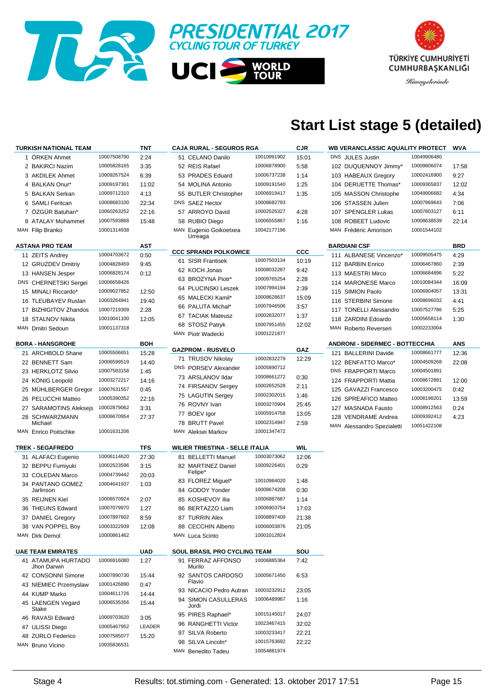



# **Start List stage 5 (detailed)**

| <b>TURKISH NATIONAL TEAM</b>      |             | TNT    | <b>CAJA RURAL - SEGUROS RGA</b>        |             | <b>CJR</b> | WB VERANCLASSIC AQUALITY PROTECT       |             | WVA   |
|-----------------------------------|-------------|--------|----------------------------------------|-------------|------------|----------------------------------------|-------------|-------|
| 1 ORKEN Ahmet                     | 10007508790 | 2:24   | 51 CELANO Danilo                       | 10010991902 | 15:01      | DNS JULES Justin                       | 10049906480 |       |
| 2 BAKIRCI Nazim                   | 10005828165 | 3:35   | 52 REIS Rafael                         | 10006878900 | 5:58       | 102 DUQUENNOY Jimmy*                   | 10009806074 | 17:58 |
| 3 AKDILEK Ahmet                   | 10009267524 | 6:39   | 53 PRADES Eduard                       | 10006737238 | 1:14       | 103 HABEAUX Gregory                    | 10002416900 | 9:27  |
| 4 BALKAN Onur*                    | 10009197301 | 11:02  | 54 MOLINA Antonio                      | 10009191540 | 1:25       | 104 DERUETTE Thomas*                   | 10009365837 | 12:02 |
| 5 BALKAN Serkan                   | 10009712310 | 4:13   | 55 BUTLER Christopher                  | 10006919417 | 1:35       | 105 MASSON Christophe                  | 10049906682 | 4:34  |
| 6 SAMLI Feritcan                  | 10008683100 | 22:34  | DNS SAEZ Hector                        | 10008682793 |            | 106 STASSEN Julien                     | 10007969643 | 7:06  |
| 7 ÖZGÜR Batuhan*                  | 10060263252 | 22:16  | 57 ARROYO David                        | 10002526327 | 4:28       | 107 SPENGLER Lukas                     | 10007803127 | 6:11  |
| 8 ATALAY Muhammet                 | 10007593868 | 15:48  | 58 RUBIO Diego                         | 10006555867 | 1:16       | 108 ROBEET Ludovic                     | 10008638539 | 22:14 |
| MAN Filip Branko                  | 10001314938 |        | MAN Eugenio Goikoetxea                 | 10042177196 |            | MAN Frédéric Amorison                  | 10001544102 |       |
|                                   |             |        | Urreaga                                |             |            |                                        |             |       |
| <b>ASTANA PRO TEAM</b>            |             | AST    | <b>CCC SPRANDI POLKOWICE</b>           |             | <b>CCC</b> | <b>BARDIANI CSF</b>                    |             | BRD   |
| 11 ZEITS Andrey                   | 10004703672 | 0:50   | 61 SISR Frantisek                      | 10007503134 |            | 111 ALBANESE Vincenzo*                 | 10009505475 | 4:29  |
| 12 GRUZDEV Dmitriy                | 10004828459 | 9:45   |                                        | 10008032287 | 10:19      | 112 BARBIN Enrico                      | 10006467860 | 2:39  |
| 13 HANSEN Jesper                  | 10006828174 | 0:12   | 62 KOCH Jonas                          |             | 9:42       | 113 MAESTRI Mirco                      | 10006684896 | 5:22  |
| DNS CHERNETSKI Sergei             | 10006658426 |        | 63 BROZYNA Piotr*                      | 10009765254 | 2:28       | 114 MARONESE Marco                     | 10010084344 | 16:09 |
| 15 MINALI Riccardo*               | 10009027852 | 12:50  | 64 PLUCINSKI Leszek                    | 10007994194 | 2:39       | 115 SIMION Paolo                       | 10006904057 | 13:31 |
| 16 TLEUBAYEV Ruslan               | 10003264941 | 19:40  | 65 MALECKI Kamil*                      | 10008628637 | 15:09      | 116 STERBINI Simone                    | 10008696032 | 4:41  |
| 17 BIZHIGITOV Zhandos             | 10007219309 | 2:28   | 66 PALUTA Michal*                      | 10007946506 | 3:57       | 117 TONELLI Alessandro                 | 10007527786 | 5:25  |
| 18 STALNOV Nikita                 | 10010041100 | 12:05  | 67 TACIAK Mateusz                      | 10002832077 | 1:37       | 118 ZARDINI Edoardo                    | 10005658114 | 1:30  |
| MAN Dmitri Sedoun                 | 10001137318 |        | 68 STOSZ Patryk                        | 10007951455 | 12:02      | MAN Roberto Reverseri                  | 10002233004 |       |
|                                   |             |        | MAN Piotr Wadecki                      | 10001221877 |            |                                        |             |       |
| <b>BORA - HANSGROHE</b>           |             | BOH    |                                        |             |            | <b>ANDRONI - SIDERMEC - BOTTECCHIA</b> |             | ANS   |
| 21 ARCHBOLD Shane                 | 10005506651 | 15:28  | <b>GAZPROM - RUSVELO</b>               |             | GAZ        | 121 BALLERINI Davide                   | 10008661777 | 12:36 |
| 22 BENNETT Sam                    | 10006599519 | 14:40  | 71 TRUSOV Nikolay                      | 10002832279 | 12:29      | 122 BENFATTO Marco*                    | 10004509268 | 22:08 |
| 23 HERKLOTZ Silvio                | 10007583158 | 1:45   | DNS PORSEV Alexander                   | 10005890712 |            | DNS FRAPPORTI Marco                    | 10004501891 |       |
| 24 KONIG Leopold                  | 10003272217 | 14:16  | 73 ARSLANOV Ildar                      | 10008661272 | 0:30       | 124 FRAPPORTI Mattia                   | 10008672891 | 12:00 |
| 25 MUHLBERGER Gregor              | 10007631557 | 0:45   | 74 FIRSANOV Sergey                     | 10002652528 | 2:11       | 125 GAVAZZI Francesco                  | 10003200475 | 0:42  |
| 26 PELUCCHI Matteo                | 10005390352 | 22:16  | 75 LAGUTIN Sergey                      | 10002302015 | 1:46       | 126 SPREAFICO Matteo                   | 10008198201 | 13:59 |
| 27 SARAMOTINS Aleksejs            | 10002879062 | 3:31   | 76 ROVNY Ivan                          | 10003270904 | 25:45      | 127 MASNADA Fausto                     | 10008912563 | 0:24  |
| 28 SCHWARZMANN                    | 10006670954 | 27:37  | 77 BOEV Igor                           | 10005914758 | 13:05      | 128 VENDRAME Andrea                    | 10009392412 | 4:23  |
| Michael                           |             |        | 78 BRUTT Pavel                         | 10002314947 | 2:59       | MAN Alessandro Spezialetti             | 10051422108 |       |
| MAN Enrico Poitschke              | 10001631206 |        | MAN Aleksei Markov                     | 10001347472 |            |                                        |             |       |
| <b>TREK - SEGAFREDO</b>           |             | TFS    | <b>WILIER TRIESTINA - SELLE ITALIA</b> |             | WIL        |                                        |             |       |
| 31 ALAFACI Eugenio                | 10006114620 | 27:30  | 81 BELLETTI Manuel                     | 10003073062 | 12:06      |                                        |             |       |
| 32 BEPPU Fumiyuki                 | 10002523596 | 3:15   | 82 MARTINEZ Daniel                     | 10009226401 | 0:29       |                                        |             |       |
| 33 COLEDAN Marco                  | 10004739442 | 20:03  | Felipe*                                |             |            |                                        |             |       |
| 34 PANTANO GOMEZ                  | 10004641937 | 1:03   | 83 FLOREZ Miguel*                      | 10010984020 | 1:48       |                                        |             |       |
| Jarlinson                         |             |        | 84 GODOY Yonder                        | 10008674208 | 0:30       |                                        |             |       |
| 35 REIJNEN Kiel                   | 10006570924 | 2:07   | 85 KOSHEVOY Ilia                       | 10006887687 | 1:14       |                                        |             |       |
| 36 THEUNS Edward                  | 10007079970 | 1:27   | 86 BERTAZZO Liam                       | 10006903754 | 17:03      |                                        |             |       |
| 37 DANIEL Gregory                 | 10007897602 | 8:59   | 87 TURRIN Alex                         | 10008897409 | 21:38      |                                        |             |       |
| 38 VAN POPPEL Boy                 | 10003322939 | 12:08  | 88 CECCHIN Alberto                     | 10006003876 | 21:05      |                                        |             |       |
| MAN Dirk Demol                    | 10000861462 |        | MAN Luca Scinto                        | 10001012824 |            |                                        |             |       |
|                                   |             |        |                                        |             |            |                                        |             |       |
| <b>UAE TEAM EMIRATES</b>          |             | UAD    | <b>SOUL BRASIL PRO CYCLING TEAM</b>    |             | SOU        |                                        |             |       |
| 41 ATAMUPA HURTADO<br>Jhon Darwin | 10006916080 | 1:27   | 91 FERRAZ AFFONSO<br>Murilo            | 10006885364 | 7:42       |                                        |             |       |
| 42 CONSONNI Simone                | 10007890730 | 15:44  | 92 SANTOS CARDOSO<br>Flavio            | 10005671450 | 6:53       |                                        |             |       |
| 43 NIEMIEC Przemyslaw             | 10001426890 | 0:47   |                                        | 10003232912 |            |                                        |             |       |
| 44 KUMP Marko                     | 10004611726 | 14:44  | 93 NICACIO Pedro Autran                | 10006489987 | 23:05      |                                        |             |       |
| 45 LAENGEN Vegard<br>Stake        | 10006535356 | 15:44  | 94 SIMON CASULLERAS<br>Jordi           |             | 1:16       |                                        |             |       |
| 46 RAVASI Edward                  | 10009703620 | 3:05   | 95 PIRES Raphael*                      | 10015145017 | 24:07      |                                        |             |       |
| 47 ULISSI Diego                   | 10005467952 | LEADER | 96 RANGHETTI Victor                    | 10023467415 | 32:02      |                                        |             |       |
| 48 ZURLO Federico                 | 10007585077 | 15:20  | 97 SILVA Roberto                       | 10003233417 | 22:21      |                                        |             |       |
| MAN Bruno Vicino                  | 10035836531 |        | 98 SILVA Lincoln*                      | 10015763692 | 22:22      |                                        |             |       |
|                                   |             |        | MAN Benedito Tadeu                     | 10054881974 |            |                                        |             |       |